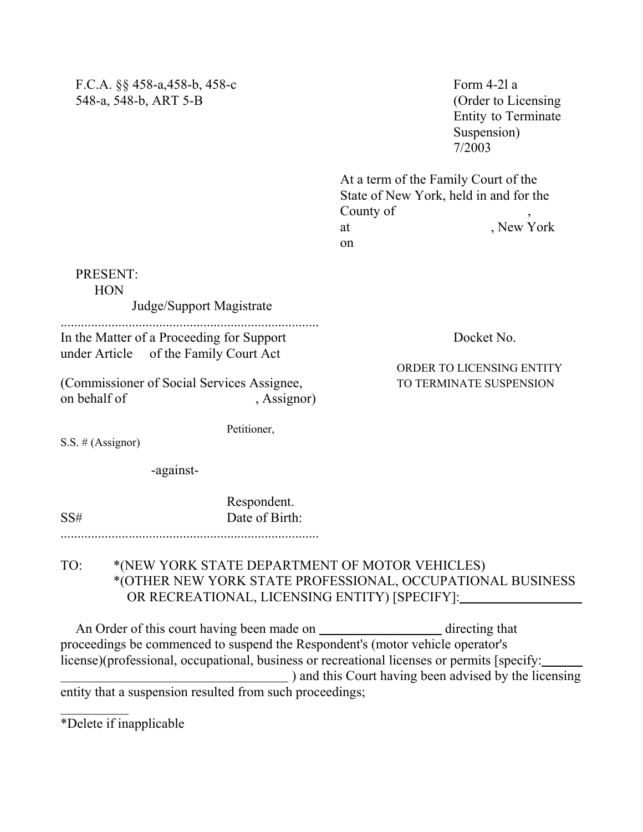| F.C.A. $\S$ $\S$ 458-a, 458-b, 458-c |
|--------------------------------------|
| 548-a, 548-b, ART 5-B                |

Form  $4-2l$  a (Order to Licensing) Entity to Terminate Suspension) 7/2003

At a term of the Family Court of the State of New York, held in and for the County of at  $New$  York on

PRESENT: **HON**  Judge/Support Magistrate ............................................................................ In the Matter of a Proceeding for Support Docket No. under Article of the Family Court Act (Commissioner of Social Services Assignee, TO TERMINATE SUSPENSION on behalf of , Assignor)

Petitioner,

ORDER TO LICENSING ENTITY

S.S.  $#$  (Assignor)

-against-

Respondent. SS# Date of Birth:

## TO: \*(NEW YORK STATE DEPARTMENT OF MOTOR VEHICLES) \*(OTHER NEW YORK STATE PROFESSIONAL, OCCUPATIONAL BUSINESS OR RECREATIONAL, LICENSING ENTITY) [SPECIFY]:

An Order of this court having been made on \_\_\_\_\_\_\_\_\_\_\_\_\_\_\_\_\_\_\_\_\_ directing that proceedings be commenced to suspend the Respondent's (motor vehicle operator's license)(professional, occupational, business or recreational licenses or permits [specify: ) and this Court having been advised by the licensing entity that a suspension resulted from such proceedings;

\*Delete if inapplicable